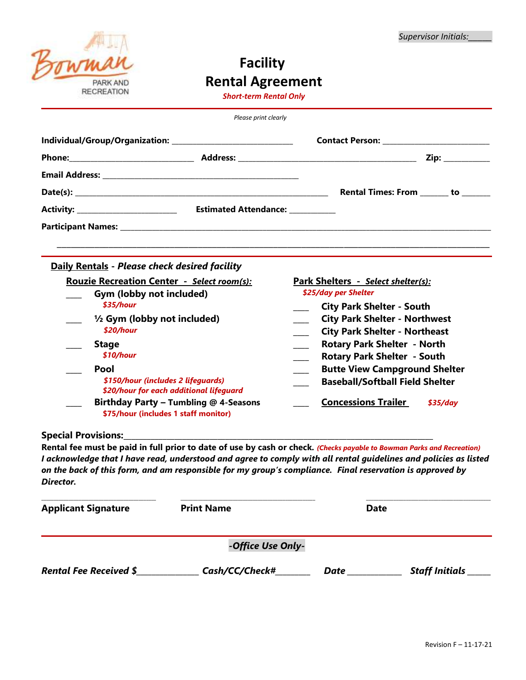

# **Facility Rental Agreement**

*Short-term Rental Only*

|                                                     | Please print clearly |                                                                              |  |  |
|-----------------------------------------------------|----------------------|------------------------------------------------------------------------------|--|--|
|                                                     |                      |                                                                              |  |  |
|                                                     |                      | $\mathsf{Zip:}\_\_\_\_\_\_\_\_\_\$                                           |  |  |
|                                                     |                      |                                                                              |  |  |
|                                                     |                      | Rental Times: From _______ to _______                                        |  |  |
|                                                     |                      |                                                                              |  |  |
|                                                     |                      |                                                                              |  |  |
|                                                     |                      |                                                                              |  |  |
| Daily Rentals - Please check desired facility       |                      |                                                                              |  |  |
| <b>Rouzie Recreation Center - Select room(s):</b>   |                      | Park Shelters - Select shelter(s):                                           |  |  |
| Gym (lobby not included)<br>\$35/hour               |                      | \$25/day per Shelter<br><b>City Park Shelter - South</b>                     |  |  |
| $\frac{1}{2}$ Gym (lobby not included)<br>\$20/hour |                      | <b>City Park Shelter - Northwest</b><br><b>City Park Shelter - Northeast</b> |  |  |
| <b>Stage</b><br>$$10/h$ our                         |                      | <b>Rotary Park Shelter - North</b><br>Detem: Deul: Chelter Cerrith           |  |  |

| Jiaut                                   | <b>NOTE THAT SHELLS</b> THOUGH         |          |
|-----------------------------------------|----------------------------------------|----------|
| \$10/hour                               | <b>Rotary Park Shelter - South</b>     |          |
| Pool                                    | <b>Butte View Campground Shelter</b>   |          |
| \$150/hour (includes 2 lifeguards)      | <b>Baseball/Softball Field Shelter</b> |          |
| \$20/hour for each additional lifeguard |                                        |          |
| Birthday Party - Tumbling @ 4-Seasons   | <b>Concessions Trailer</b>             | \$35/dav |
| \$75/hour (includes 1 staff monitor)    |                                        |          |

**Special Provisions:** 

**Rental fee must be paid in full prior to date of use by cash or check.** *(Checks payable to Bowman Parks and Recreation) I acknowledge that I have read, understood and agree to comply with all rental guidelines and policies as listed on the back of this form, and am responsible for my group's compliance. Final reservation is approved by Director.*

| <b>Applicant Signature</b>    | <b>Print Name</b> | Date |                       |
|-------------------------------|-------------------|------|-----------------------|
|                               | -Office Use Only- |      |                       |
| <b>Rental Fee Received \$</b> | Cash/CC/Check#    | Date | <b>Staff Initials</b> |